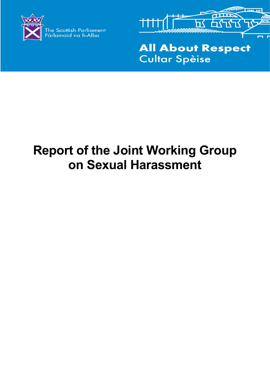

The Scottish Parliament<br>Pàrlamaid na h-Alba



**All About Respect Cultar Spèise** 

# **Report of the Joint Working Group on Sexual Harassment**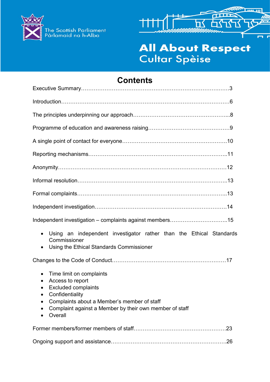

The Scottish Parliament<br>Pàrlamaid na h-Alba



## **All About Respect Cultar Spèise**

## **Contents**

| Independent investigation - complaints against members15                                                                                                                                                                        |  |
|---------------------------------------------------------------------------------------------------------------------------------------------------------------------------------------------------------------------------------|--|
| Using an independent investigator rather than the Ethical Standards<br>$\bullet$<br>Commissioner<br>Using the Ethical Standards Commissioner<br>$\bullet$                                                                       |  |
|                                                                                                                                                                                                                                 |  |
| Time limit on complaints<br>$\bullet$<br>Access to report<br><b>Excluded complaints</b><br>Confidentiality<br>Complaints about a Member's member of staff<br>Complaint against a Member by their own member of staff<br>Overall |  |
|                                                                                                                                                                                                                                 |  |
|                                                                                                                                                                                                                                 |  |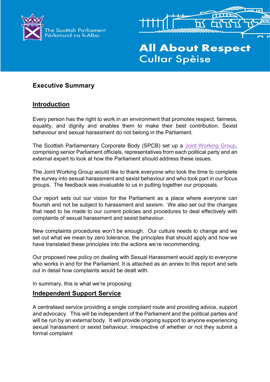



## **All About Respect Cultar Spèise**

## **Executive Summary**

## **Introduction**

Every person has the right to work in an environment that promotes respect, fairness, equality, and dignity and enables them to make their best contribution. Sexist behaviour and sexual harassment do not belong in the Parliament.

The Scottish Parliamentary Corporate Body (SPCB) set up a [Joint Working Group,](http://www.scottish.parliament.uk/abouttheparliament/107843.aspx) comprising senior Parliament officials, representatives from each political party and an external expert to look at how the Parliament should address these issues.

The Joint Working Group would like to thank everyone who took the time to complete the survey into sexual harassment and sexist behaviour and who took part in our focus groups. The feedback was invaluable to us in putting together our proposals.

Our report sets out our vision for the Parliament as a place where everyone can flourish and not be subject to harassment and sexism. We also set out the changes that need to be made to our current policies and procedures to deal effectively with complaints of sexual harassment and sexist behaviour.

New complaints procedures won't be enough. Our culture needs to change and we set out what we mean by zero tolerance, the principles that should apply and how we have translated these principles into the actions we're recommending.

Our proposed new policy on dealing with Sexual Harassment would apply to everyone who works in and for the Parliament. It is attached as an annex to this report and sets out in detail how complaints would be dealt with.

In summary, this is what we're proposing:

## **Independent Support Service**

A centralised service providing a single complaint route and providing advice, support and advocacy. This will be independent of the Parliament and the political parties and will be run by an external body. It will provide ongoing support to anyone experiencing sexual harassment or sexist behaviour, irrespective of whether or not they submit a formal complaint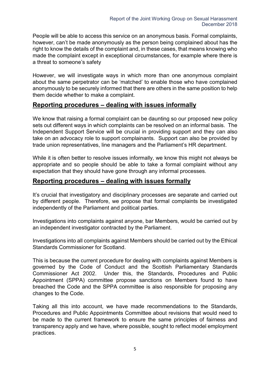People will be able to access this service on an anonymous basis. Formal complaints, however, can't be made anonymously as the person being complained about has the right to know the details of the complaint and, in these cases, that means knowing who made the complaint except in exceptional circumstances, for example where there is a threat to someone's safety

However, we will investigate ways in which more than one anonymous complaint about the same perpetrator can be 'matched' to enable those who have complained anonymously to be securely informed that there are others in the same position to help them decide whether to make a complaint.

#### **Reporting procedures – dealing with issues informally**

We know that raising a formal complaint can be daunting so our proposed new policy sets out different ways in which complaints can be resolved on an informal basis. The Independent Support Service will be crucial in providing support and they can also take on an advocacy role to support complainants. Support can also be provided by trade union representatives, line managers and the Parliament's HR department.

While it is often better to resolve issues informally, we know this might not always be appropriate and so people should be able to take a formal complaint without any expectation that they should have gone through any informal processes.

#### **Reporting procedures – dealing with issues formally**

It's crucial that investigatory and disciplinary processes are separate and carried out by different people. Therefore, we propose that formal complaints be investigated independently of the Parliament and political parties.

Investigations into complaints against anyone, bar Members, would be carried out by an independent investigator contracted by the Parliament.

Investigations into all complaints against Members should be carried out by the Ethical Standards Commissioner for Scotland.

This is because the current procedure for dealing with complaints against Members is governed by the Code of Conduct and the Scottish Parliamentary Standards Commissioner Act 2002. Under this, the Standards, Procedures and Public Appointment (SPPA) committee propose sanctions on Members found to have breached the Code and the SPPA committee is also responsible for proposing any changes to the Code.

Taking all this into account, we have made recommendations to the Standards, Procedures and Public Appointments Committee about revisions that would need to be made to the current framework to ensure the same principles of fairness and transparency apply and we have, where possible, sought to reflect model employment practices.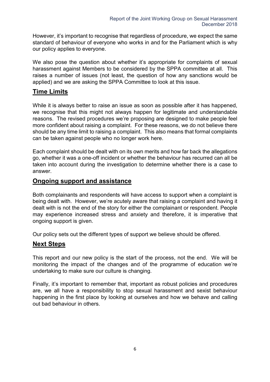However, it's important to recognise that regardless of procedure, we expect the same standard of behaviour of everyone who works in and for the Parliament which is why our policy applies to everyone.

We also pose the question about whether it's appropriate for complaints of sexual harassment against Members to be considered by the SPPA committee at all. This raises a number of issues (not least, the question of how any sanctions would be applied) and we are asking the SPPA Committee to look at this issue.

## **Time Limits**

While it is always better to raise an issue as soon as possible after it has happened, we recognise that this might not always happen for legitimate and understandable reasons. The revised procedures we're proposing are designed to make people feel more confident about raising a complaint. For these reasons, we do not believe there should be any time limit to raising a complaint. This also means that formal complaints can be taken against people who no longer work here.

Each complaint should be dealt with on its own merits and how far back the allegations go, whether it was a one-off incident or whether the behaviour has recurred can all be taken into account during the investigation to determine whether there is a case to answer.

#### **Ongoing support and assistance**

Both complainants and respondents will have access to support when a complaint is being dealt with. However, we're acutely aware that raising a complaint and having it dealt with is not the end of the story for either the complainant or respondent. People may experience increased stress and anxiety and therefore, it is imperative that ongoing support is given.

Our policy sets out the different types of support we believe should be offered.

## **Next Steps**

This report and our new policy is the start of the process, not the end. We will be monitoring the impact of the changes and of the programme of education we're undertaking to make sure our culture is changing.

Finally, it's important to remember that, important as robust policies and procedures are, we all have a responsibility to stop sexual harassment and sexist behaviour happening in the first place by looking at ourselves and how we behave and calling out bad behaviour in others.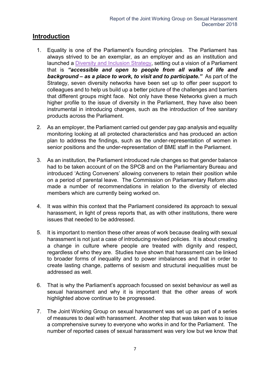## **Introduction**

- 1. Equality is one of the Parliament's founding principles. The Parliament has always strived to be an exemplar, as an employer and as an institution and launched a [Diversity and Inclusion Strategy,](http://www.scottish.parliament.uk/abouttheparliament/30314.aspx) setting out a vision of a Parliament that is *"accessible and open to people from all walks of life and background – as a place to work, to visit and to participate."* As part of the Strategy, seven diversity networks have been set up to offer peer support to colleagues and to help us build up a better picture of the challenges and barriers that different groups might face. Not only have these Networks given a much higher profile to the issue of diversity in the Parliament, they have also been instrumental in introducing changes, such as the introduction of free sanitary products across the Parliament.
- 2. As an employer, the Parliament carried out gender pay gap analysis and equality monitoring looking at all protected characteristics and has produced an action plan to address the findings, such as the under-representation of women in senior positions and the under-representation of BME staff in the Parliament.
- 3. As an institution, the Parliament introduced rule changes so that gender balance had to be taken account of on the SPCB and on the Parliamentary Bureau and introduced 'Acting Conveners' allowing conveners to retain their position while on a period of parental leave. The Commission on Parliamentary Reform also made a number of recommendations in relation to the diversity of elected members which are currently being worked on.
- 4. It was within this context that the Parliament considered its approach to sexual harassment, in light of press reports that, as with other institutions, there were issues that needed to be addressed.
- 5. It is important to mention these other areas of work because dealing with sexual harassment is not just a case of introducing revised policies. It is about creating a change in culture where people are treated with dignity and respect, regardless of who they are. Studies have shown that harassment can be linked to broader forms of inequality and to power imbalances and that in order to create lasting change, patterns of sexism and structural inequalities must be addressed as well.
- 6. That is why the Parliament's approach focussed on sexist behaviour as well as sexual harassment and why it is important that the other areas of work highlighted above continue to be progressed.
- 7. The Joint Working Group on sexual harassment was set up as part of a series of measures to deal with harassment. Another step that was taken was to issue a comprehensive survey to everyone who works in and for the Parliament. The number of reported cases of sexual harassment was very low but we know that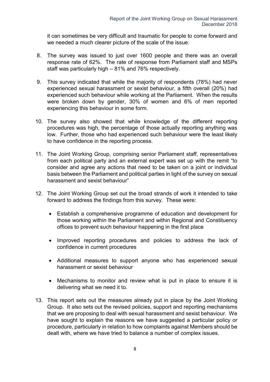it can sometimes be very difficult and traumatic for people to come forward and we needed a much clearer picture of the scale of the issue.

- 8. The survey was issued to just over 1600 people and there was an overall response rate of 62%. The rate of response from Parliament staff and MSPs staff was particularly high – 81% and 76% respectively.
- 9. This survey indicated that while the majority of respondents (78%) had never experienced sexual harassment or sexist behaviour, a fifth overall (20%) had experienced such behaviour while working at the Parliament. When the results were broken down by gender, 30% of women and 6% of men reported experiencing this behaviour in some form.
- 10. The survey also showed that while knowledge of the different reporting procedures was high, the percentage of those actually reporting anything was low. Further, those who had experienced such behaviour were the least likely to have confidence in the reporting process.
- 11. The Joint Working Group, comprising senior Parliament staff, representatives from each political party and an external expert was set up with the remit "to consider and agree any actions that need to be taken on a joint or individual basis between the Parliament and political parties in light of the survey on sexual harassment and sexist behaviour"
- 12. The Joint Working Group set out the broad strands of work it intended to take forward to address the findings from this survey. These were:
	- Establish a comprehensive programme of education and development for those working within the Parliament and within Regional and Constituency offices to prevent such behaviour happening in the first place
	- Improved reporting procedures and policies to address the lack of confidence in current procedures
	- Additional measures to support anyone who has experienced sexual harassment or sexist behaviour
	- Mechanisms to monitor and review what is put in place to ensure it is delivering what we need it to.
- 13. This report sets out the measures already put in place by the Joint Working Group. It also sets out the revised policies, support and reporting mechanisms that we are proposing to deal with sexual harassment and sexist behaviour. We have sought to explain the reasons we have suggested a particular policy or procedure, particularly in relation to how complaints against Members should be dealt with, where we have tried to balance a number of complex issues.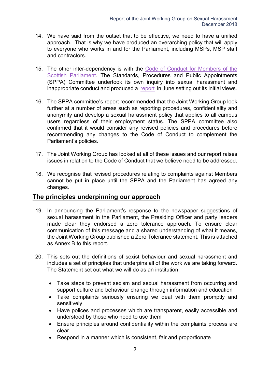- 14. We have said from the outset that to be effective, we need to have a unified approach. That is why we have produced an overarching policy that will apply to everyone who works in and for the Parliament, including MSPs, MSP staff and contractors.
- 15. The other inter-dependency is with the [Code of Conduct for Members of the](http://www.parliament.scot/Parliamentaryprocedureandguidance/CCEd07201708.pdf)  [Scottish Parliament.](http://www.parliament.scot/Parliamentaryprocedureandguidance/CCEd07201708.pdf) The Standards, Procedures and Public Appointments (SPPA) Committee undertook its own inquiry into sexual harassment and inappropriate conduct and produced a [report](https://sp-bpr-en-prod-cdnep.azureedge.net/published/SPPA/2018/6/5/Sexual-harassment-and-inappropriate-conduct-1/SPPAS052018R04.pdf) in June setting out its initial views.
- 16. The SPPA committee's report recommended that the Joint Working Group look further at a number of areas such as reporting procedures, confidentiality and anonymity and develop a sexual harassment policy that applies to all campus users regardless of their employment status. The SPPA committee also confirmed that it would consider any revised policies and procedures before recommending any changes to the Code of Conduct to complement the Parliament's policies.
- 17. The Joint Working Group has looked at all of these issues and our report raises issues in relation to the Code of Conduct that we believe need to be addressed.
- 18. We recognise that revised procedures relating to complaints against Members cannot be put in place until the SPPA and the Parliament has agreed any changes.

## **The principles underpinning our approach**

- 19. In announcing the Parliament's response to the newspaper suggestions of sexual harassment in the Parliament, the Presiding Officer and party leaders made clear they endorsed a zero tolerance approach. To ensure clear communication of this message and a shared understanding of what it means, the Joint Working Group published a Zero Tolerance statement. This is attached as Annex B to this report.
- 20. This sets out the definitions of sexist behaviour and sexual harassment and includes a set of principles that underpins all of the work we are taking forward. The Statement set out what we will do as an institution:
	- Take steps to prevent sexism and sexual harassment from occurring and support culture and behaviour change through information and education
	- Take complaints seriously ensuring we deal with them promptly and sensitively
	- Have polices and processes which are transparent, easily accessible and understood by those who need to use them
	- Ensure principles around confidentiality within the complaints process are clear
	- Respond in a manner which is consistent, fair and proportionate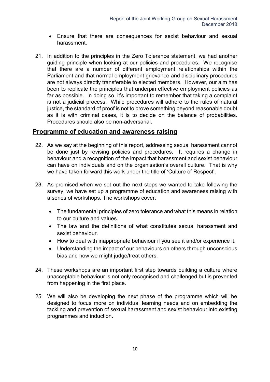- Ensure that there are consequences for sexist behaviour and sexual harassment.
- 21. In addition to the principles in the Zero Tolerance statement, we had another guiding principle when looking at our policies and procedures. We recognise that there are a number of different employment relationships within the Parliament and that normal employment grievance and disciplinary procedures are not always directly transferable to elected members. However, our aim has been to replicate the principles that underpin effective employment policies as far as possible. In doing so, it's important to remember that taking a complaint is not a judicial process. While procedures will adhere to the rules of natural justice, the standard of proof is not to prove something beyond reasonable doubt as it is with criminal cases, it is to decide on the balance of probabilities. Procedures should also be non-adversarial.

#### **Programme of education and awareness raising**

- 22. As we say at the beginning of this report, addressing sexual harassment cannot be done just by revising policies and procedures. It requires a change in behaviour and a recognition of the impact that harassment and sexist behaviour can have on individuals and on the organisation's overall culture. That is why we have taken forward this work under the title of 'Culture of Respect'.
- 23. As promised when we set out the next steps we wanted to take following the survey, we have set up a programme of education and awareness raising with a series of workshops. The workshops cover:
	- The fundamental principles of zero tolerance and what this means in relation to our culture and values.
	- The law and the definitions of what constitutes sexual harassment and sexist behaviour.
	- How to deal with inappropriate behaviour if you see it and/or experience it.
	- Understanding the impact of our behaviours on others through unconscious bias and how we might judge/treat others.
- 24. These workshops are an important first step towards building a culture where unacceptable behaviour is not only recognised and challenged but is prevented from happening in the first place.
- 25. We will also be developing the next phase of the programme which will be designed to focus more on individual learning needs and on embedding the tackling and prevention of sexual harassment and sexist behaviour into existing programmes and induction.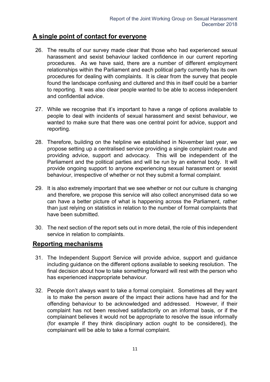## **A single point of contact for everyone**

- 26. The results of our survey made clear that those who had experienced sexual harassment and sexist behaviour lacked confidence in our current reporting procedures. As we have said, there are a number of different employment relationships within the Parliament and each political party currently has its own procedures for dealing with complaints. It is clear from the survey that people found the landscape confusing and cluttered and this in itself could be a barrier to reporting. It was also clear people wanted to be able to access independent and confidential advice.
- 27. While we recognise that it's important to have a range of options available to people to deal with incidents of sexual harassment and sexist behaviour, we wanted to make sure that there was one central point for advice, support and reporting.
- 28. Therefore, building on the helpline we established in November last year, we propose setting up a centralised service providing a single complaint route and providing advice, support and advocacy. This will be independent of the Parliament and the political parties and will be run by an external body. It will provide ongoing support to anyone experiencing sexual harassment or sexist behaviour, irrespective of whether or not they submit a formal complaint.
- 29. It is also extremely important that we see whether or not our culture is changing and therefore, we propose this service will also collect anonymised data so we can have a better picture of what is happening across the Parliament, rather than just relying on statistics in relation to the number of formal complaints that have been submitted.
- 30. The next section of the report sets out in more detail, the role of this independent service in relation to complaints.

## **Reporting mechanisms**

- 31. The Independent Support Service will provide advice, support and guidance including guidance on the different options available to seeking resolution. The final decision about how to take something forward will rest with the person who has experienced inappropriate behaviour.
- 32. People don't always want to take a formal complaint. Sometimes all they want is to make the person aware of the impact their actions have had and for the offending behaviour to be acknowledged and addressed. However, if their complaint has not been resolved satisfactorily on an informal basis, or if the complainant believes it would not be appropriate to resolve the issue informally (for example if they think disciplinary action ought to be considered), the complainant will be able to take a formal complaint.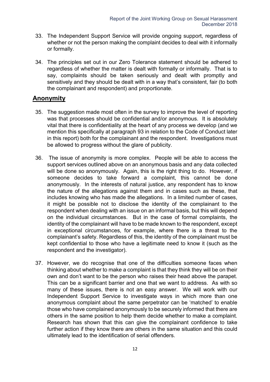- 33. The Independent Support Service will provide ongoing support, regardless of whether or not the person making the complaint decides to deal with it informally or formally.
- 34. The principles set out in our Zero Tolerance statement should be adhered to regardless of whether the matter is dealt with formally or informally. That is to say, complaints should be taken seriously and dealt with promptly and sensitively and they should be dealt with in a way that's consistent, fair (to both the complainant and respondent) and proportionate.

## **Anonymity**

- 35. The suggestion made most often in the survey to improve the level of reporting was that processes should be confidential and/or anonymous. It is absolutely vital that there is confidentiality at the heart of any process we develop (and we mention this specifically at paragraph 93 in relation to the Code of Conduct later in this report) both for the complainant and the respondent. Investigations must be allowed to progress without the glare of publicity.
- 36. The issue of anonymity is more complex. People will be able to access the support services outlined above on an anonymous basis and any data collected will be done so anonymously. Again, this is the right thing to do. However, if someone decides to take forward a complaint, this cannot be done anonymously. In the interests of natural justice, any respondent has to know the nature of the allegations against them and in cases such as these, that includes knowing who has made the allegations. In a limited number of cases, it might be possible not to disclose the identity of the complainant to the respondent when dealing with an issue on an informal basis, but this will depend on the individual circumstances. But in the case of formal complaints, the identity of the complainant will have to be made known to the respondent, except in exceptional circumstances, for example, where there is a threat to the complainant's safety. Regardless of this, the identity of the complainant must be kept confidential to those who have a legitimate need to know it (such as the respondent and the investigator).
- 37. However, we do recognise that one of the difficulties someone faces when thinking about whether to make a complaint is that they think they will be on their own and don't want to be the person who raises their head above the parapet. This can be a significant barrier and one that we want to address. As with so many of these issues, there is not an easy answer. We will work with our Independent Support Service to investigate ways in which more than one anonymous complaint about the same perpetrator can be 'matched' to enable those who have complained anonymously to be securely informed that there are others in the same position to help them decide whether to make a complaint. Research has shown that this can give the complainant confidence to take further action if they know there are others in the same situation and this could ultimately lead to the identification of serial offenders.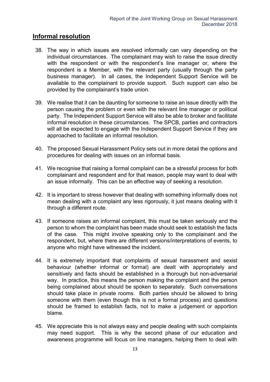## **Informal resolution**

- 38. The way in which issues are resolved informally can vary depending on the individual circumstances. The complainant may wish to raise the issue directly with the respondent or with the respondent's line manager or, where the respondent is a Member, with the relevant party (usually through the party business manager). In all cases, the Independent Support Service will be available to the complainant to provide support. Such support can also be provided by the complainant's trade union.
- 39. We realise that it can be daunting for someone to raise an issue directly with the person causing the problem or even with the relevant line manager or political party. The Independent Support Service will also be able to broker and facilitate informal resolution in these circumstances. The SPCB, parties and contractors will all be expected to engage with the Independent Support Service if they are approached to facilitate an informal resolution.
- 40. The proposed Sexual Harassment Policy sets out in more detail the options and procedures for dealing with issues on an informal basis.
- 41. We recognise that raising a formal complaint can be a stressful process for both complainant and respondent and for that reason, people may want to deal with an issue informally. This can be an effective way of seeking a resolution.
- 42. It is important to stress however that dealing with something informally does not mean dealing with a complaint any less rigorously, it just means dealing with it through a different route.
- 43. If someone raises an informal complaint, this must be taken seriously and the person to whom the complaint has been made should seek to establish the facts of the case. This might involve speaking only to the complainant and the respondent, but, where there are different versions/interpretations of events, to anyone who might have witnessed the incident.
- 44. It is extremely important that complaints of sexual harassment and sexist behaviour (whether informal or formal) are dealt with appropriately and sensitively and facts should be established in a thorough but non-adversarial way. In practice, this means the person making the complaint and the person being complained about should be spoken to separately. Such conversations should take place in private rooms. Both parties should be allowed to bring someone with them (even though this is not a formal process) and questions should be framed to establish facts, not to make a judgement or apportion blame.
- 45. We appreciate this is not always easy and people dealing with such complaints may need support. This is why the second phase of our education and awareness programme will focus on line managers, helping them to deal with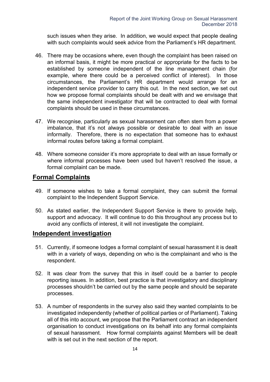such issues when they arise. In addition, we would expect that people dealing with such complaints would seek advice from the Parliament's HR department.

- 46. There may be occasions where, even though the complaint has been raised on an informal basis, it might be more practical or appropriate for the facts to be established by someone independent of the line management chain (for example, where there could be a perceived conflict of interest). In those circumstances, the Parliament's HR department would arrange for an independent service provider to carry this out. In the next section, we set out how we propose formal complaints should be dealt with and we envisage that the same independent investigator that will be contracted to deal with formal complaints should be used in these circumstances.
- 47. We recognise, particularly as sexual harassment can often stem from a power imbalance, that it's not always possible or desirable to deal with an issue informally. Therefore, there is no expectation that someone has to exhaust informal routes before taking a formal complaint.
- 48. Where someone consider it's more appropriate to deal with an issue formally or where informal processes have been used but haven't resolved the issue, a formal complaint can be made.

#### **Formal Complaints**

- 49. If someone wishes to take a formal complaint, they can submit the formal complaint to the Independent Support Service.
- 50. As stated earlier, the Independent Support Service is there to provide help, support and advocacy. It will continue to do this throughout any process but to avoid any conflicts of interest, it will not investigate the complaint.

#### **Independent investigation**

- 51. Currently, if someone lodges a formal complaint of sexual harassment it is dealt with in a variety of ways, depending on who is the complainant and who is the respondent.
- 52. It was clear from the survey that this in itself could be a barrier to people reporting issues. In addition, best practice is that investigatory and disciplinary processes shouldn't be carried out by the same people and should be separate processes.
- 53. A number of respondents in the survey also said they wanted complaints to be investigated independently (whether of political parties or of Parliament). Taking all of this into account, we propose that the Parliament contract an independent organisation to conduct investigations on its behalf into any formal complaints of sexual harassment. How formal complaints against Members will be dealt with is set out in the next section of the report.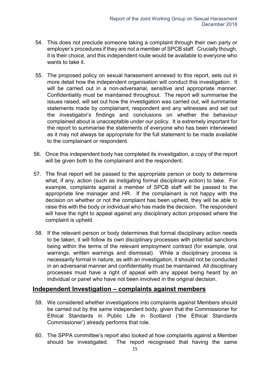- 54. This does not preclude someone taking a complaint through their own party or employer's procedures if they are not a member of SPCB staff. Crucially though, it is their choice, and this independent route would be available to everyone who wants to take it.
- 55. The proposed policy on sexual harassment annexed to this report, sets out in more detail how the independent organisation will conduct this investigation. It will be carried out in a non-adversarial, sensitive and appropriate manner. Confidentiality must be maintained throughout. The report will summarise the issues raised, will set out how the investigation was carried out, will summarise statements made by complainant, respondent and any witnesses and set out the investigator's findings and conclusions on whether the behaviour complained about is unacceptable under our policy. It is extremely important for the report to summarise the statements of everyone who has been interviewed as it may not always be appropriate for the full statement to be made available to the complainant or respondent.
- 56. Once this independent body has completed its investigation, a copy of the report will be given both to the complainant and the respondent.
- 57. The final report will be passed to the appropriate person or body to determine what, if any, action (such as instigating formal disciplinary action) to take. For example, complaints against a member of SPCB staff will be passed to the appropriate line manager and HR. If the complainant is not happy with the decision on whether or not the complaint has been upheld, they will be able to raise this with the body or individual who has made the decision. The respondent will have the right to appeal against any disciplinary action proposed where the complaint is upheld.
- 58. If the relevant person or body determines that formal disciplinary action needs to be taken, it will follow its own disciplinary processes with potential sanctions being within the terms of the relevant employment contract (for example, oral warnings, written warnings and dismissal). While a disciplinary process is necessarily formal in nature, as with an investigation, it should not be conducted in an adversarial manner and confidentiality must be maintained. All disciplinary processes must have a right of appeal with any appeal being heard by an individual or panel who have not been involved in the original decision.

#### **Independent Investigation – complaints against members**

- 59. We considered whether investigations into complaints against Members should be carried out by the same independent body, given that the Commissioner for Ethical Standards in Public Life in Scotland ('the Ethical Standards Commissioner') already performs that role.
- 60. The SPPA committee's report also looked at how complaints against a Member should be investigated. The report recognised that having the same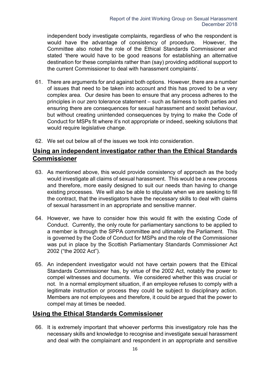independent body investigate complaints, regardless of who the respondent is would have the advantage of consistency of procedure. However, the Committee also noted the role of the Ethical Standards Commissioner and stated 'there would have to be good reasons for establishing an alternative destination for these complaints rather than (say) providing additional support to the current Commissioner to deal with harassment complaints'.

- 61. There are arguments for and against both options. However, there are a number of issues that need to be taken into account and this has proved to be a very complex area. Our desire has been to ensure that any process adheres to the principles in our zero tolerance statement – such as fairness to both parties and ensuring there are consequences for sexual harassment and sexist behaviour, but without creating unintended consequences by trying to make the Code of Conduct for MSPs fit where it's not appropriate or indeed, seeking solutions that would require legislative change.
- 62. We set out below all of the issues we took into consideration.

## **Using an independent investigator rather than the Ethical Standards Commissioner**

- 63. As mentioned above, this would provide consistency of approach as the body would investigate all claims of sexual harassment. This would be a new process and therefore, more easily designed to suit our needs than having to change existing processes. We will also be able to stipulate when we are seeking to fill the contract, that the investigators have the necessary skills to deal with claims of sexual harassment in an appropriate and sensitive manner.
- 64. However, we have to consider how this would fit with the existing Code of Conduct. Currently, the only route for parliamentary sanctions to be applied to a member is through the SPPA committee and ultimately the Parliament. This is governed by the Code of Conduct for MSPs and the role of the Commissioner was put in place by the Scottish Parliamentary Standards Commissioner Act 2002 ("the 2002 Act").
- 65. An independent investigator would not have certain powers that the Ethical Standards Commissioner has, by virtue of the 2002 Act, notably the power to compel witnesses and documents. We considered whether this was crucial or not. In a normal employment situation, if an employee refuses to comply with a legitimate instruction or process they could be subject to disciplinary action. Members are not employees and therefore, it could be argued that the power to compel may at times be needed.

#### **Using the Ethical Standards Commissioner**

66. It is extremely important that whoever performs this investigatory role has the necessary skills and knowledge to recognise and investigate sexual harassment and deal with the complainant and respondent in an appropriate and sensitive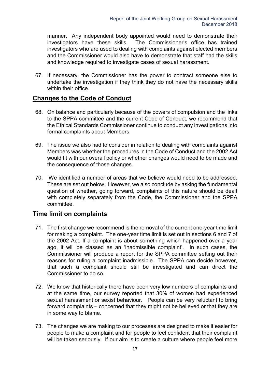manner. Any independent body appointed would need to demonstrate their investigators have these skills. The Commissioner's office has trained investigators who are used to dealing with complaints against elected members and the Commissioner would also have to demonstrate that staff had the skills and knowledge required to investigate cases of sexual harassment.

67. If necessary, the Commissioner has the power to contract someone else to undertake the investigation if they think they do not have the necessary skills within their office.

#### **Changes to the Code of Conduct**

- 68. On balance and particularly because of the powers of compulsion and the links to the SPPA committee and the current Code of Conduct, we recommend that the Ethical Standards Commissioner continue to conduct any investigations into formal complaints about Members.
- 69. The issue we also had to consider in relation to dealing with complaints against Members was whether the procedures in the Code of Conduct and the 2002 Act would fit with our overall policy or whether changes would need to be made and the consequence of those changes.
- 70. We identified a number of areas that we believe would need to be addressed. These are set out below. However, we also conclude by asking the fundamental question of whether, going forward, complaints of this nature should be dealt with completely separately from the Code, the Commissioner and the SPPA committee.

#### **Time limit on complaints**

- 71. The first change we recommend is the removal of the current one-year time limit for making a complaint. The one-year time limit is set out in sections 6 and 7 of the 2002 Act. If a complaint is about something which happened over a year ago, it will be classed as an 'inadmissible complaint'. In such cases, the Commissioner will produce a report for the SPPA committee setting out their reasons for ruling a complaint inadmissible. The SPPA can decide however, that such a complaint should still be investigated and can direct the Commissioner to do so.
- 72. We know that historically there have been very low numbers of complaints and at the same time, our survey reported that 30% of women had experienced sexual harassment or sexist behaviour. People can be very reluctant to bring forward complaints – concerned that they might not be believed or that they are in some way to blame.
- 73. The changes we are making to our processes are designed to make it easier for people to make a complaint and for people to feel confident that their complaint will be taken seriously. If our aim is to create a culture where people feel more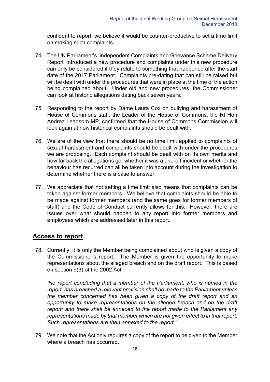confident to report, we believe it would be counter-productive to set a time limit on making such complaints.

- 74. The UK Parliament's 'Independent Complaints and Grievance Scheme Delivery Report' introduced a new procedure and complaints under this new procedure can only be considered if they relate to something that happened after the start date of the 2017 Parliament. Complaints pre-dating that can still be raised but will be dealt with under the procedures that were in place at the time of the action being complained about. Under old and new procedures, the Commissioner can look at historic allegations dating back seven years.
- 75. Responding to the report by Dame Laura Cox on bullying and harassment of House of Commons staff, the Leader of the House of Commons, the Rt Hon Andrea Leadsom MP, confirmed that the House of Commons Commission will look again at how historical complaints should be dealt with.
- 76. We are of the view that there should be no time limit applied to complaints of sexual harassment and complaints should be dealt with under the procedures we are proposing. Each complaint should be dealt with on its own merits and how far back the allegations go, whether it was a one-off incident or whether the behaviour has recurred can all be taken into account during the investigation to determine whether there is a case to answer.
- 77. We appreciate that not setting a time limit also means that complaints can be taken against former members. We believe that complaints should be able to be made against former members (and the same goes for former members of staff) and the Code of Conduct currently allows for this. However, there are issues over what should happen to any report into former members and employees which are addressed later in this report.

## **Access to report**

78. Currently, it is only the Member being complained about who is given a copy of the Commissioner's report. The Member is given the opportunity to make representations about the alleged breach and on the draft report. This is based on section 9(3) of the 2002 Act:

*'No report concluding that a member of the Parliament, who is named in the report, has breached a relevant provision shall be made to the Parliament unless the member concerned has been given a copy of the draft report and an opportunity to make representations on the alleged breach and on the draft report; and there shall be annexed to the report made to the Parliament any representations made by that member which are not given effect to in that report. Such representations are then annexed to the report.'*

79. We note that the Act only requires a copy of the report to be given to the Member where a breach has occurred.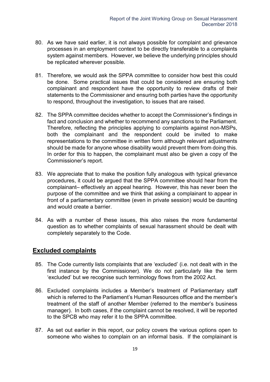- 80. As we have said earlier, it is not always possible for complaint and grievance processes in an employment context to be directly transferable to a complaints system against members. However, we believe the underlying principles should be replicated wherever possible.
- 81. Therefore, we would ask the SPPA committee to consider how best this could be done. Some practical issues that could be considered are ensuring both complainant and respondent have the opportunity to review drafts of their statements to the Commissioner and ensuring both parties have the opportunity to respond, throughout the investigation, to issues that are raised.
- 82. The SPPA committee decides whether to accept the Commissioner's findings in fact and conclusion and whether to recommend any sanctions to the Parliament. Therefore, reflecting the principles applying to complaints against non-MSPs, both the complainant and the respondent could be invited to make representations to the committee in written form although relevant adjustments should be made for anyone whose disability would prevent them from doing this. In order for this to happen, the complainant must also be given a copy of the Commissioner's report.
- 83. We appreciate that to make the position fully analogous with typical grievance procedures, it could be argued that the SPPA committee should hear from the complainant– effectively an appeal hearing. However, this has never been the purpose of the committee and we think that asking a complainant to appear in front of a parliamentary committee (even in private session) would be daunting and would create a barrier.
- 84. As with a number of these issues, this also raises the more fundamental question as to whether complaints of sexual harassment should be dealt with completely separately to the Code.

## **Excluded complaints**

- 85. The Code currently lists complaints that are 'excluded' (i.e. not dealt with in the first instance by the Commissioner). We do not particularly like the term 'excluded' but we recognise such terminology flows from the 2002 Act.
- 86. Excluded complaints includes a Member's treatment of Parliamentary staff which is referred to the Parliament's Human Resources office and the member's treatment of the staff of another Member (referred to the member's business manager). In both cases, if the complaint cannot be resolved, it will be reported to the SPCB who may refer it to the SPPA committee.
- 87. As set out earlier in this report, our policy covers the various options open to someone who wishes to complain on an informal basis. If the complainant is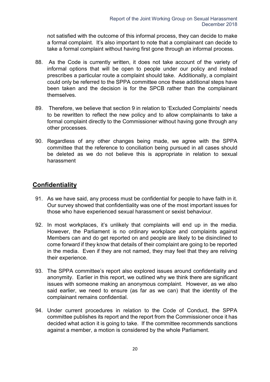not satisfied with the outcome of this informal process, they can decide to make a formal complaint. It's also important to note that a complainant can decide to take a formal complaint without having first gone through an informal process.

- 88. As the Code is currently written, it does not take account of the variety of informal options that will be open to people under our policy and instead prescribes a particular route a complaint should take. Additionally, a complaint could only be referred to the SPPA committee once these additional steps have been taken and the decision is for the SPCB rather than the complainant themselves.
- 89. Therefore, we believe that section 9 in relation to 'Excluded Complaints' needs to be rewritten to reflect the new policy and to allow complainants to take a formal complaint directly to the Commissioner without having gone through any other processes.
- 90. Regardless of any other changes being made, we agree with the SPPA committee that the reference to conciliation being pursued in all cases should be deleted as we do not believe this is appropriate in relation to sexual harassment

## **Confidentiality**

- 91. As we have said, any process must be confidential for people to have faith in it. Our survey showed that confidentiality was one of the most important issues for those who have experienced sexual harassment or sexist behaviour.
- 92. In most workplaces, it's unlikely that complaints will end up in the media. However, the Parliament is no ordinary workplace and complaints against Members can and do get reported on and people are likely to be disinclined to come forward if they know that details of their complaint are going to be reported in the media. Even if they are not named, they may feel that they are reliving their experience.
- 93. The SPPA committee's report also explored issues around confidentiality and anonymity. Earlier in this report, we outlined why we think there are significant issues with someone making an anonymous complaint. However, as we also said earlier, we need to ensure (as far as we can) that the identity of the complainant remains confidential.
- 94. Under current procedures in relation to the Code of Conduct, the SPPA committee publishes its report and the report from the Commissioner once it has decided what action it is going to take. If the committee recommends sanctions against a member, a motion is considered by the whole Parliament.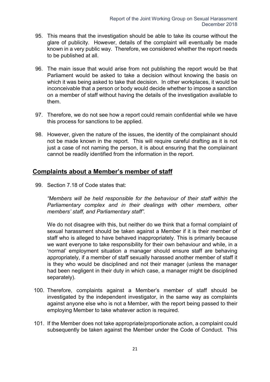- 95. This means that the investigation should be able to take its course without the glare of publicity. However, details of the complaint will eventually be made known in a very public way. Therefore, we considered whether the report needs to be published at all.
- 96. The main issue that would arise from not publishing the report would be that Parliament would be asked to take a decision without knowing the basis on which it was being asked to take that decision. In other workplaces, it would be inconceivable that a person or body would decide whether to impose a sanction on a member of staff without having the details of the investigation available to them.
- 97. Therefore, we do not see how a report could remain confidential while we have this process for sanctions to be applied.
- 98. However, given the nature of the issues, the identity of the complainant should not be made known in the report. This will require careful drafting as it is not just a case of not naming the person, it is about ensuring that the complainant cannot be readily identified from the information in the report.

#### **Complaints about a Member's member of staff**

99. Section 7.18 of Code states that:

*"Members will be held responsible for the behaviour of their staff within the Parliamentary complex and in their dealings with other members, other members' staff, and Parliamentary staff".*

We do not disagree with this, but neither do we think that a formal complaint of sexual harassment should be taken against a Member if it is their member of staff who is alleged to have behaved inappropriately. This is primarily because we want everyone to take responsibility for their own behaviour and while, in a 'normal' employment situation a manager should ensure staff are behaving appropriately, if a member of staff sexually harassed another member of staff it is they who would be disciplined and not their manager (unless the manager had been negligent in their duty in which case, a manager might be disciplined separately).

- 100. Therefore, complaints against a Member's member of staff should be investigated by the independent investigator, in the same way as complaints against anyone else who is not a Member, with the report being passed to their employing Member to take whatever action is required.
- 101. If the Member does not take appropriate/proportionate action, a complaint could subsequently be taken against the Member under the Code of Conduct. This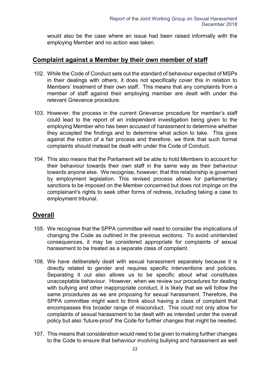would also be the case where an issue had been raised informally with the employing Member and no action was taken.

#### **Complaint against a Member by their own member of staff**

- 102. While the Code of Conduct sets out the standard of behaviour expected of MSPs in their dealings with others, it does not specifically cover this in relation to Members' treatment of their own staff. This means that any complaints from a member of staff against their employing member are dealt with under the relevant Grievance procedure.
- 103. However, the process in the current Grievance procedure for member's staff could lead to the report of an independent investigation being given to the employing Member who has been accused of harassment to determine whether they accepted the findings and to determine what action to take. This goes against the notion of a fair process and therefore, we think that such formal complaints should instead be dealt with under the Code of Conduct.
- 104. This also means that the Parliament will be able to hold Members to account for their behaviour towards their own staff in the same way as their behaviour towards anyone else. We recognise, however, that this relationship is governed by employment legislation. This revised process allows for parliamentary sanctions to be imposed on the Member concerned but does not impinge on the complainant's rights to seek other forms of redress, including taking a case to employment tribunal.

#### **Overall**

- 105. We recognise that the SPPA committee will need to consider the implications of changing the Code as outlined in the previous sections. To avoid unintended consequences, it may be considered appropriate for complaints of sexual harassment to be treated as a separate class of complaint.
- 106. We have deliberately dealt with sexual harassment separately because it is directly related to gender and requires specific interventions and policies. Separating it out also allows us to be specific about what constitutes unacceptable behaviour. However, when we review our procedures for dealing with bullying and other inappropriate conduct, it is likely that we will follow the same procedures as we are proposing for sexual harassment. Therefore, the SPPA committee might want to think about having a class of complaint that encompasses this broader range of misconduct. This could not only allow for complaints of sexual harassment to be dealt with as intended under the overall policy but also 'future-proof' the Code for further changes that might be needed.
- 107. This means that consideration would need to be given to making further changes to the Code to ensure that behaviour involving bullying and harassment as well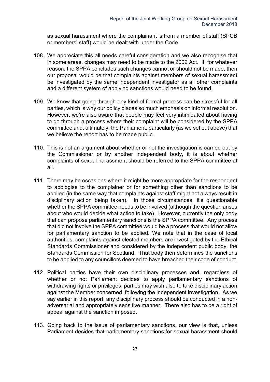as sexual harassment where the complainant is from a member of staff (SPCB or members' staff) would be dealt with under the Code.

- 108. We appreciate this all needs careful consideration and we also recognise that in some areas, changes may need to be made to the 2002 Act. If, for whatever reason, the SPPA concludes such changes cannot or should not be made, then our proposal would be that complaints against members of sexual harassment be investigated by the same independent investigator as all other complaints and a different system of applying sanctions would need to be found.
- 109. We know that going through any kind of formal process can be stressful for all parties, which is why our policy places so much emphasis on informal resolution. However, we're also aware that people may feel very intimidated about having to go through a process where their complaint will be considered by the SPPA committee and, ultimately, the Parliament, particularly (as we set out above) that we believe the report has to be made public.
- 110. This is not an argument about whether or not the investigation is carried out by the Commissioner or by another independent body, it is about whether complaints of sexual harassment should be referred to the SPPA committee at all.
- 111. There may be occasions where it might be more appropriate for the respondent to apologise to the complainer or for something other than sanctions to be applied (in the same way that complaints against staff might not always result in disciplinary action being taken). In those circumstances, it's questionable whether the SPPA committee needs to be involved (although the question arises about who would decide what action to take). However, currently the only body that can propose parliamentary sanctions is the SPPA committee. Any process that did not involve the SPPA committee would be a process that would not allow for parliamentary sanction to be applied. We note that in the case of local authorities, complaints against elected members are investigated by the Ethical Standards Commissioner and considered by the independent public body, the Standards Commission for Scotland. That body then determines the sanctions to be applied to any councillors deemed to have breached their code of conduct.
- 112. Political parties have their own disciplinary processes and, regardless of whether or not Parliament decides to apply parliamentary sanctions of withdrawing rights or privileges, parties may wish also to take disciplinary action against the Member concerned, following the independent investigation. As we say earlier in this report, any disciplinary process should be conducted in a nonadversarial and appropriately sensitive manner. There also has to be a right of appeal against the sanction imposed.
- 113. Going back to the issue of parliamentary sanctions, our view is that, unless Parliament decides that parliamentary sanctions for sexual harassment should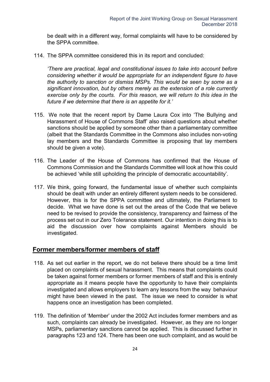be dealt with in a different way, formal complaints will have to be considered by the SPPA committee.

114. The SPPA committee considered this in its report and concluded:

*'There are practical, legal and constitutional issues to take into account before considering whether it would be appropriate for an independent figure to have the authority to sanction or dismiss MSPs. This would be seen by some as a significant innovation, but by others merely as the extension of a role currently exercise only by the courts. For this reason, we will return to this idea in the future if we determine that there is an appetite for it.'*

- 115. We note that the recent report by Dame Laura Cox into 'The Bullying and Harassment of House of Commons Staff' also raised questions about whether sanctions should be applied by someone other than a parliamentary committee (albeit that the Standards Committee in the Commons also includes non-voting lay members and the Standards Committee is proposing that lay members should be given a vote).
- 116. The Leader of the House of Commons has confirmed that the House of Commons Commission and the Standards Committee will look at how this could be achieved 'while still upholding the principle of democratic accountability'.
- 117. We think, going forward, the fundamental issue of whether such complaints should be dealt with under an entirely different system needs to be considered. However, this is for the SPPA committee and ultimately, the Parliament to decide. What we have done is set out the areas of the Code that we believe need to be revised to provide the consistency, transparency and fairness of the process set out in our Zero Tolerance statement. Our intention in doing this is to aid the discussion over how complaints against Members should be investigated.

#### **Former members/former members of staff**

- 118. As set out earlier in the report, we do not believe there should be a time limit placed on complaints of sexual harassment. This means that complaints could be taken against former members or former members of staff and this is entirely appropriate as it means people have the opportunity to have their complaints investigated and allows employers to learn any lessons from the way behaviour might have been viewed in the past. The issue we need to consider is what happens once an investigation has been completed.
- 119. The definition of 'Member' under the 2002 Act includes former members and as such, complaints can already be investigated. However, as they are no longer MSPs, parliamentary sanctions cannot be applied. This is discussed further in paragraphs 123 and 124. There has been one such complaint, and as would be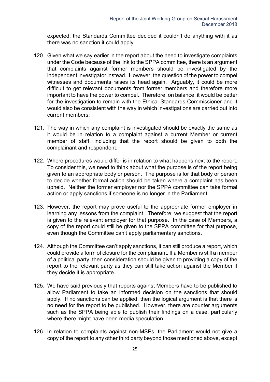expected, the Standards Committee decided it couldn't do anything with it as there was no sanction it could apply.

- 120. Given what we say earlier in the report about the need to investigate complaints under the Code because of the link to the SPPA committee, there is an argument that complaints against former members should be investigated by the independent investigator instead. However, the question of the power to compel witnesses and documents raises its head again. Arguably, it could be more difficult to get relevant documents from former members and therefore more important to have the power to compel. Therefore, on balance, it would be better for the investigation to remain with the Ethical Standards Commissioner and it would also be consistent with the way in which investigations are carried out into current members.
- 121. The way in which any complaint is investigated should be exactly the same as it would be in relation to a complaint against a current Member or current member of staff, including that the report should be given to both the complainant and respondent.
- 122. Where procedures would differ is in relation to what happens next to the report. To consider this, we need to think about what the purpose is of the report being given to an appropriate body or person. The purpose is for that body or person to decide whether formal action should be taken where a complaint has been upheld. Neither the former employer nor the SPPA committee can take formal action or apply sanctions if someone is no longer in the Parliament.
- 123. However, the report may prove useful to the appropriate former employer in learning any lessons from the complaint. Therefore, we suggest that the report is given to the relevant employer for that purpose. In the case of Members, a copy of the report could still be given to the SPPA committee for that purpose, even though the Committee can't apply parliamentary sanctions.
- 124. Although the Committee can't apply sanctions, it can still produce a report, which could provide a form of closure for the complainant. If a Member is still a member of a political party, then consideration should be given to providing a copy of the report to the relevant party as they can still take action against the Member if they decide it is appropriate.
- 125. We have said previously that reports against Members have to be published to allow Parliament to take an informed decision on the sanctions that should apply. If no sanctions can be applied, then the logical argument is that there is no need for the report to be published. However, there are counter arguments such as the SPPA being able to publish their findings on a case, particularly where there might have been media speculation.
- 126. In relation to complaints against non-MSPs, the Parliament would not give a copy of the report to any other third party beyond those mentioned above, except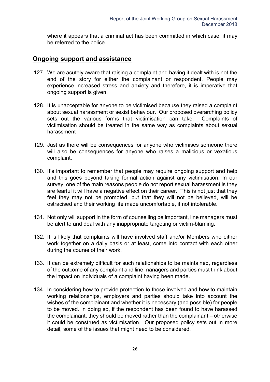where it appears that a criminal act has been committed in which case, it may be referred to the police.

#### **Ongoing support and assistance**

- 127. We are acutely aware that raising a complaint and having it dealt with is not the end of the story for either the complainant or respondent. People may experience increased stress and anxiety and therefore, it is imperative that ongoing support is given.
- 128. It is unacceptable for anyone to be victimised because they raised a complaint about sexual harassment or sexist behaviour. Our proposed overarching policy sets out the various forms that victimisation can take. Complaints of victimisation should be treated in the same way as complaints about sexual harassment
- 129. Just as there will be consequences for anyone who victimises someone there will also be consequences for anyone who raises a malicious or vexatious complaint.
- 130. It's important to remember that people may require ongoing support and help and this goes beyond taking formal action against any victimisation. In our survey, one of the main reasons people do not report sexual harassment is they are fearful it will have a negative effect on their career. This is not just that they feel they may not be promoted, but that they will not be believed, will be ostracised and their working life made uncomfortable, if not intolerable.
- 131. Not only will support in the form of counselling be important, line managers must be alert to and deal with any inappropriate targeting or victim-blaming.
- 132. It is likely that complaints will have involved staff and/or Members who either work together on a daily basis or at least, come into contact with each other during the course of their work.
- 133. It can be extremely difficult for such relationships to be maintained, regardless of the outcome of any complaint and line managers and parties must think about the impact on individuals of a complaint having been made.
- 134. In considering how to provide protection to those involved and how to maintain working relationships, employers and parties should take into account the wishes of the complainant and whether it is necessary (and possible) for people to be moved. In doing so, if the respondent has been found to have harassed the complainant, they should be moved rather than the complainant – otherwise it could be construed as victimisation. Our proposed policy sets out in more detail, some of the issues that might need to be considered.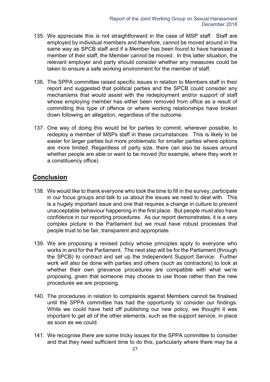- 135. We appreciate this is not straightforward in the case of MSP staff. Staff are employed by individual members and therefore, cannot be moved around in the same way as SPCB staff and if a Member has been found to have harassed a member of their staff, the Member cannot be moved. In this latter situation, the relevant employer and party should consider whether any measures could be taken to ensure a safe working environment for the member of staff.
- 136. The SPPA committee raised specific issues in relation to Members staff in their report and suggested that political parties and the SPCB could consider any mechanisms that would assist with the redeployment and/or support of staff whose employing member has either been removed from office as a result of committing this type of offence or where working relationships have broken down following an allegation, regardless of the outcome.
- 137. One way of doing this would be for parties to commit, wherever possible, to redeploy a member of MSPs staff in these circumstances. This is likely to be easier for larger parties but more problematic for smaller parties where options are more limited. Regardless of party size, there can also be issues around whether people are able or want to be moved (for example, where they work in a constituency office).

## **Conclusion**

- 138. We would like to thank everyone who took the time to fill in the survey, participate in our focus groups and talk to us about the issues we need to deal with. This is a hugely important issue and one that requires a change in culture to prevent unacceptable behaviour happening in the first place. But people must also have confidence in our reporting procedures. As our report demonstrates, it is a very complex picture in the Parliament but we must have robust processes that people trust to be fair, transparent and appropriate.
- 139. We are proposing a revised policy whose principles apply to everyone who works in and for the Parliament. The next step will be for the Parliament (through the SPCB) to contract and set up the Independent Support Service. Further work will also be done with parties and others (such as contractors) to look at whether their own grievance procedures are compatible with what we're proposing, given that someone may choose to use those rather than the new procedures we are proposing.
- 140. The procedures in relation to complaints against Members cannot be finalised until the SPPA committee has had the opportunity to consider our findings. While we could have held off publishing our new policy, we thought it was important to get all of the other elements, such as the support service, in place as soon as we could.
- 141. We recognise there are some tricky issues for the SPPA committee to consider and that they need sufficient time to do this, particularly where there may be a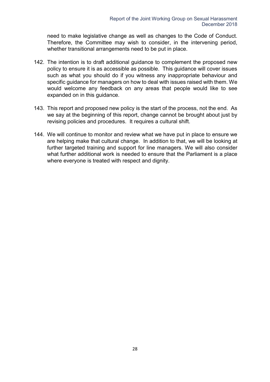need to make legislative change as well as changes to the Code of Conduct. Therefore, the Committee may wish to consider, in the intervening period, whether transitional arrangements need to be put in place.

- 142. The intention is to draft additional guidance to complement the proposed new policy to ensure it is as accessible as possible. This guidance will cover issues such as what you should do if you witness any inappropriate behaviour and specific guidance for managers on how to deal with issues raised with them. We would welcome any feedback on any areas that people would like to see expanded on in this guidance.
- 143. This report and proposed new policy is the start of the process, not the end. As we say at the beginning of this report, change cannot be brought about just by revising policies and procedures. It requires a cultural shift.
- 144. We will continue to monitor and review what we have put in place to ensure we are helping make that cultural change. In addition to that, we will be looking at further targeted training and support for line managers. We will also consider what further additional work is needed to ensure that the Parliament is a place where everyone is treated with respect and dignity.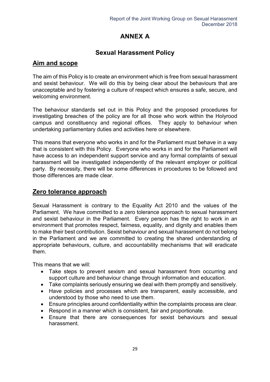## **ANNEX A**

## **Sexual Harassment Policy**

## **Aim and scope**

The aim of this Policy is to create an environment which is free from sexual harassment and sexist behaviour. We will do this by being clear about the behaviours that are unacceptable and by fostering a culture of respect which ensures a safe, secure, and welcoming environment.

The behaviour standards set out in this Policy and the proposed procedures for investigating breaches of the policy are for all those who work within the Holyrood campus and constituency and regional offices. They apply to behaviour when undertaking parliamentary duties and activities here or elsewhere.

This means that everyone who works in and for the Parliament must behave in a way that is consistent with this Policy. Everyone who works in and for the Parliament will have access to an independent support service and any formal complaints of sexual harassment will be investigated independently of the relevant employer or political party. By necessity, there will be some differences in procedures to be followed and those differences are made clear.

## **Zero tolerance approach**

Sexual Harassment is contrary to the Equality Act 2010 and the values of the Parliament. We have committed to a zero tolerance approach to sexual harassment and sexist behaviour in the Parliament. Every person has the right to work in an environment that promotes respect, fairness, equality, and dignity and enables them to make their best contribution. Sexist behaviour and sexual harassment do not belong in the Parliament and we are committed to creating the shared understanding of appropriate behaviours, culture, and accountability mechanisms that will eradicate them.

This means that we will:

- Take steps to prevent sexism and sexual harassment from occurring and support culture and behaviour change through information and education.
- Take complaints seriously ensuring we deal with them promptly and sensitively.
- Have policies and processes which are transparent, easily accessible, and understood by those who need to use them.
- Ensure principles around confidentiality within the complaints process are clear.
- Respond in a manner which is consistent, fair and proportionate.
- Ensure that there are consequences for sexist behaviours and sexual harassment.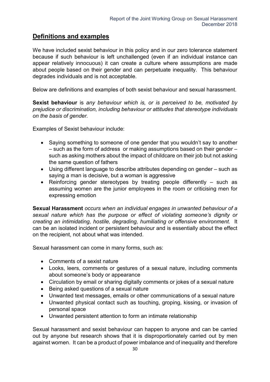## **Definitions and examples**

We have included sexist behaviour in this policy and in our zero tolerance statement because if such behaviour is left unchallenged (even if an individual instance can appear relatively innocuous) it can create a culture where assumptions are made about people based on their gender and can perpetuate inequality. This behaviour degrades individuals and is not acceptable.

Below are definitions and examples of both sexist behaviour and sexual harassment.

**Sexist behaviour** is *any behaviour which is, or is perceived to be, motivated by prejudice or discrimination, including behaviour or attitudes that stereotype individuals on the basis of gender.*

Examples of Sexist behaviour include:

- Saying something to someone of one gender that you wouldn't say to another – such as the form of address or making assumptions based on their gender – such as asking mothers about the impact of childcare on their job but not asking the same question of fathers
- Using different language to describe attributes depending on gender such as saying a man is decisive, but a woman is aggressive
- Reinforcing gender stereotypes by treating people differently such as assuming women are the junior employees in the room or criticising men for expressing emotion

**Sexual Harassment** *occurs when an individual engages in unwanted behaviour of a sexual nature which has the purpose or effect of violating someone's dignity or creating an intimidating, hostile, degrading, humiliating or offensive environment.* It can be an isolated incident or persistent behaviour and is essentially about the effect on the recipient, not about what was intended.

Sexual harassment can come in many forms, such as:

- Comments of a sexist nature
- Looks, leers, comments or gestures of a sexual nature, including comments about someone's body or appearance
- Circulation by email or sharing digitally comments or jokes of a sexual nature
- Being asked questions of a sexual nature
- Unwanted text messages, emails or other communications of a sexual nature
- Unwanted physical contact such as touching, groping, kissing, or invasion of personal space
- Unwanted persistent attention to form an intimate relationship

Sexual harassment and sexist behaviour can happen to anyone and can be carried out by anyone but research shows that it is disproportionately carried out by men against women. It can be a product of power imbalance and of inequality and therefore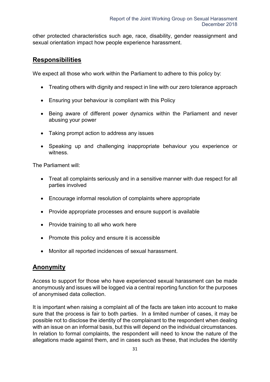other protected characteristics such age, race, disability, gender reassignment and sexual orientation impact how people experience harassment.

## **Responsibilities**

We expect all those who work within the Parliament to adhere to this policy by:

- Treating others with dignity and respect in line with our zero tolerance approach
- Ensuring your behaviour is compliant with this Policy
- Being aware of different power dynamics within the Parliament and never abusing your power
- Taking prompt action to address any issues
- Speaking up and challenging inappropriate behaviour you experience or witness.

The Parliament will:

- Treat all complaints seriously and in a sensitive manner with due respect for all parties involved
- Encourage informal resolution of complaints where appropriate
- Provide appropriate processes and ensure support is available
- Provide training to all who work here
- Promote this policy and ensure it is accessible
- Monitor all reported incidences of sexual harassment.

## **Anonymity**

Access to support for those who have experienced sexual harassment can be made anonymously and issues will be logged via a central reporting function for the purposes of anonymised data collection.

It is important when raising a complaint all of the facts are taken into account to make sure that the process is fair to both parties. In a limited number of cases, it may be possible not to disclose the identity of the complainant to the respondent when dealing with an issue on an informal basis, but this will depend on the individual circumstances. In relation to formal complaints, the respondent will need to know the nature of the allegations made against them, and in cases such as these, that includes the identity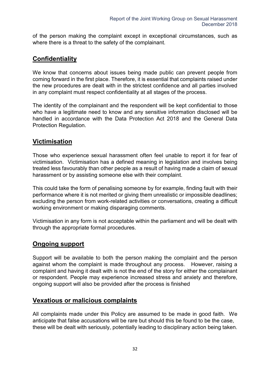of the person making the complaint except in exceptional circumstances, such as where there is a threat to the safety of the complainant.

## **Confidentiality**

We know that concerns about issues being made public can prevent people from coming forward in the first place. Therefore, it is essential that complaints raised under the new procedures are dealt with in the strictest confidence and all parties involved in any complaint must respect confidentiality at all stages of the process.

The identity of the complainant and the respondent will be kept confidential to those who have a legitimate need to know and any sensitive information disclosed will be handled in accordance with the Data Protection Act 2018 and the General Data Protection Regulation.

#### **Victimisation**

Those who experience sexual harassment often feel unable to report it for fear of victimisation. Victimisation has a defined meaning in legislation and involves being treated less favourably than other people as a result of having made a claim of sexual harassment or by assisting someone else with their complaint.

This could take the form of penalising someone by for example, finding fault with their performance where it is not merited or giving them unrealistic or impossible deadlines; excluding the person from work-related activities or conversations, creating a difficult working environment or making disparaging comments.

Victimisation in any form is not acceptable within the parliament and will be dealt with through the appropriate formal procedures.

#### **Ongoing support**

Support will be available to both the person making the complaint and the person against whom the complaint is made throughout any process. However, raising a complaint and having it dealt with is not the end of the story for either the complainant or respondent. People may experience increased stress and anxiety and therefore, ongoing support will also be provided after the process is finished

#### **Vexatious or malicious complaints**

All complaints made under this Policy are assumed to be made in good faith. We anticipate that false accusations will be rare but should this be found to be the case, these will be dealt with seriously, potentially leading to disciplinary action being taken.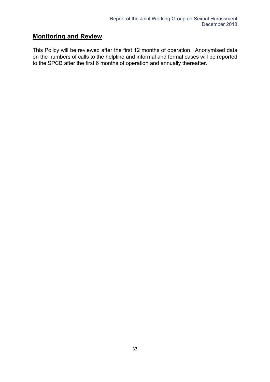## **Monitoring and Review**

This Policy will be reviewed after the first 12 months of operation. Anonymised data on the numbers of calls to the helpline and informal and formal cases will be reported to the SPCB after the first 6 months of operation and annually thereafter.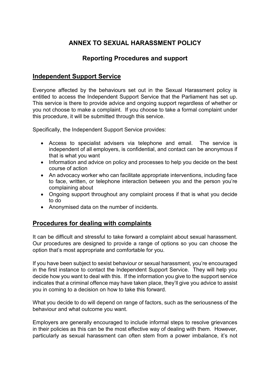## **ANNEX TO SEXUAL HARASSMENT POLICY**

## **Reporting Procedures and support**

#### **Independent Support Service**

Everyone affected by the behaviours set out in the Sexual Harassment policy is entitled to access the Independent Support Service that the Parliament has set up. This service is there to provide advice and ongoing support regardless of whether or you not choose to make a complaint. If you choose to take a formal complaint under this procedure, it will be submitted through this service.

Specifically, the Independent Support Service provides:

- Access to specialist advisers via telephone and email. The service is independent of all employers, is confidential, and contact can be anonymous if that is what you want
- Information and advice on policy and processes to help you decide on the best course of action
- An advocacy worker who can facilitate appropriate interventions, including face to face, written, or telephone interaction between you and the person you're complaining about
- Ongoing support throughout any complaint process if that is what you decide to do
- Anonymised data on the number of incidents.

## **Procedures for dealing with complaints**

It can be difficult and stressful to take forward a complaint about sexual harassment. Our procedures are designed to provide a range of options so you can choose the option that's most appropriate and comfortable for you.

If you have been subject to sexist behaviour or sexual harassment, you're encouraged in the first instance to contact the Independent Support Service. They will help you decide how you want to deal with this. If the information you give to the support service indicates that a criminal offence may have taken place, they'll give you advice to assist you in coming to a decision on how to take this forward.

What you decide to do will depend on range of factors, such as the seriousness of the behaviour and what outcome you want.

Employers are generally encouraged to include informal steps to resolve grievances in their policies as this can be the most effective way of dealing with them. However, particularly as sexual harassment can often stem from a power imbalance, it's not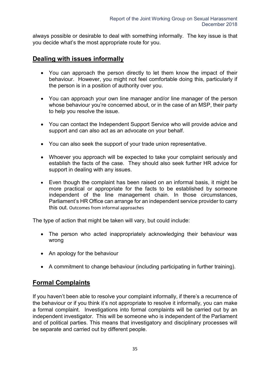always possible or desirable to deal with something informally. The key issue is that you decide what's the most appropriate route for you.

## **Dealing with issues informally**

- You can approach the person directly to let them know the impact of their behaviour. However, you might not feel comfortable doing this, particularly if the person is in a position of authority over you.
- You can approach your own line manager and/or line manager of the person whose behaviour you're concerned about, or in the case of an MSP, their party to help you resolve the issue.
- You can contact the Independent Support Service who will provide advice and support and can also act as an advocate on your behalf.
- You can also seek the support of your trade union representative.
- Whoever you approach will be expected to take your complaint seriously and establish the facts of the case. They should also seek further HR advice for support in dealing with any issues.
- Even though the complaint has been raised on an informal basis, it might be more practical or appropriate for the facts to be established by someone independent of the line management chain. In those circumstances, Parliament's HR Office can arrange for an independent service provider to carry this out. Outcomes from informal approaches

The type of action that might be taken will vary, but could include:

- The person who acted inappropriately acknowledging their behaviour was wrong
- An apology for the behaviour
- A commitment to change behaviour (including participating in further training).

## **Formal Complaints**

If you haven't been able to resolve your complaint informally, if there's a recurrence of the behaviour or if you think it's not appropriate to resolve it informally, you can make a formal complaint. Investigations into formal complaints will be carried out by an independent investigator. This will be someone who is independent of the Parliament and of political parties. This means that investigatory and disciplinary processes will be separate and carried out by different people.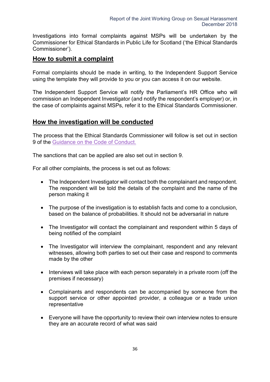Investigations into formal complaints against MSPs will be undertaken by the Commissioner for Ethical Standards in Public Life for Scotland ('the Ethical Standards Commissioner').

## **How to submit a complaint**

Formal complaints should be made in writing, to the Independent Support Service using the template they will provide to you or you can access it on our website.

The Independent Support Service will notify the Parliament's HR Office who will commission an Independent Investigator (and notify the respondent's employer) or, in the case of complaints against MSPs, refer it to the Ethical Standards Commissioner.

#### **How the investigation will be conducted**

The process that the Ethical Standards Commissioner will follow is set out in section 9 of the [Guidance on the Code of Conduct.](http://www.parliament.scot/Parliamentaryprocedureandguidance/CCEd07201708Guidance.pdf)

The sanctions that can be applied are also set out in section 9.

For all other complaints, the process is set out as follows:

- The Independent Investigator will contact both the complainant and respondent. The respondent will be told the details of the complaint and the name of the person making it
- The purpose of the investigation is to establish facts and come to a conclusion, based on the balance of probabilities. It should not be adversarial in nature
- The Investigator will contact the complainant and respondent within 5 days of being notified of the complaint
- The Investigator will interview the complainant, respondent and any relevant witnesses, allowing both parties to set out their case and respond to comments made by the other
- Interviews will take place with each person separately in a private room (off the premises if necessary)
- Complainants and respondents can be accompanied by someone from the support service or other appointed provider, a colleague or a trade union representative
- Everyone will have the opportunity to review their own interview notes to ensure they are an accurate record of what was said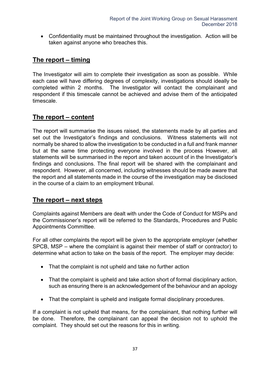• Confidentiality must be maintained throughout the investigation. Action will be taken against anyone who breaches this.

## **The report – timing**

The Investigator will aim to complete their investigation as soon as possible. While each case will have differing degrees of complexity, investigations should ideally be completed within 2 months. The Investigator will contact the complainant and respondent if this timescale cannot be achieved and advise them of the anticipated timescale.

## **The report – content**

The report will summarise the issues raised, the statements made by all parties and set out the Investigator's findings and conclusions. Witness statements will not normally be shared to allow the investigation to be conducted in a full and frank manner but at the same time protecting everyone involved in the process However, all statements will be summarised in the report and taken account of in the Investigator's findings and conclusions. The final report will be shared with the complainant and respondent. However, all concerned, including witnesses should be made aware that the report and all statements made in the course of the investigation may be disclosed in the course of a claim to an employment tribunal.

## **The report – next steps**

Complaints against Members are dealt with under the Code of Conduct for MSPs and the Commissioner's report will be referred to the Standards, Procedures and Public Appointments Committee.

For all other complaints the report will be given to the appropriate employer (whether SPCB, MSP – where the complaint is against their member of staff or contractor) to determine what action to take on the basis of the report. The employer may decide:

- That the complaint is not upheld and take no further action
- That the complaint is upheld and take action short of formal disciplinary action, such as ensuring there is an acknowledgement of the behaviour and an apology
- That the complaint is upheld and instigate formal disciplinary procedures.

If a complaint is not upheld that means, for the complainant, that nothing further will be done. Therefore, the complainant can appeal the decision not to uphold the complaint. They should set out the reasons for this in writing.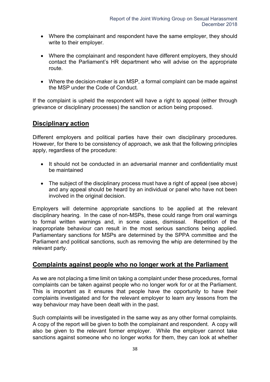- Where the complainant and respondent have the same employer, they should write to their employer.
- Where the complainant and respondent have different employers, they should contact the Parliament's HR department who will advise on the appropriate route.
- Where the decision-maker is an MSP, a formal complaint can be made against the MSP under the Code of Conduct.

If the complaint is upheld the respondent will have a right to appeal (either through grievance or disciplinary processes) the sanction or action being proposed.

#### **Disciplinary action**

Different employers and political parties have their own disciplinary procedures. However, for there to be consistency of approach, we ask that the following principles apply, regardless of the procedure:

- It should not be conducted in an adversarial manner and confidentiality must be maintained
- The subject of the disciplinary process must have a right of appeal (see above) and any appeal should be heard by an individual or panel who have not been involved in the original decision.

Employers will determine appropriate sanctions to be applied at the relevant disciplinary hearing. In the case of non-MSPs, these could range from oral warnings to formal written warnings and, in some cases, dismissal. Repetition of the inappropriate behaviour can result in the most serious sanctions being applied. Parliamentary sanctions for MSPs are determined by the SPPA committee and the Parliament and political sanctions, such as removing the whip are determined by the relevant party.

## **Complaints against people who no longer work at the Parliament**

As we are not placing a time limit on taking a complaint under these procedures, formal complaints can be taken against people who no longer work for or at the Parliament. This is important as it ensures that people have the opportunity to have their complaints investigated and for the relevant employer to learn any lessons from the way behaviour may have been dealt with in the past.

Such complaints will be investigated in the same way as any other formal complaints. A copy of the report will be given to both the complainant and respondent. A copy will also be given to the relevant former employer. While the employer cannot take sanctions against someone who no longer works for them, they can look at whether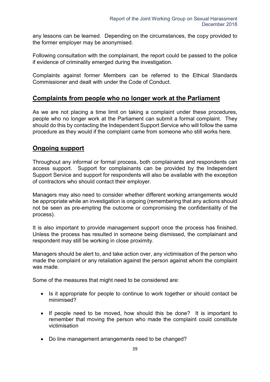any lessons can be learned. Depending on the circumstances, the copy provided to the former employer may be anonymised.

Following consultation with the complainant, the report could be passed to the police if evidence of criminality emerged during the investigation.

Complaints against former Members can be referred to the Ethical Standards Commissioner and dealt with under the Code of Conduct.

## **Complaints from people who no longer work at the Parliament**

As we are not placing a time limit on taking a complaint under these procedures, people who no longer work at the Parliament can submit a formal complaint. They should do this by contacting the Independent Support Service who will follow the same procedure as they would if the complaint came from someone who still works here.

## **Ongoing support**

Throughout any informal or formal process, both complainants and respondents can access support. Support for complainants can be provided by the Independent Support Service and support for respondents will also be available with the exception of contractors who should contact their employer.

Managers may also need to consider whether different working arrangements would be appropriate while an investigation is ongoing (remembering that any actions should not be seen as pre-empting the outcome or compromising the confidentiality of the process).

It is also important to provide management support once the process has finished. Unless the process has resulted in someone being dismissed, the complainant and respondent may still be working in close proximity.

Managers should be alert to, and take action over, any victimisation of the person who made the complaint or any retaliation against the person against whom the complaint was made.

Some of the measures that might need to be considered are:

- Is it appropriate for people to continue to work together or should contact be minimised?
- If people need to be moved, how should this be done? It is important to remember that moving the person who made the complaint could constitute victimisation
- Do line management arrangements need to be changed?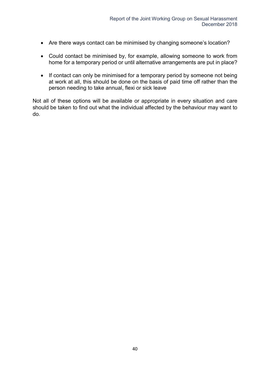- Are there ways contact can be minimised by changing someone's location?
- Could contact be minimised by, for example, allowing someone to work from home for a temporary period or until alternative arrangements are put in place?
- If contact can only be minimised for a temporary period by someone not being at work at all, this should be done on the basis of paid time off rather than the person needing to take annual, flexi or sick leave

Not all of these options will be available or appropriate in every situation and care should be taken to find out what the individual affected by the behaviour may want to do.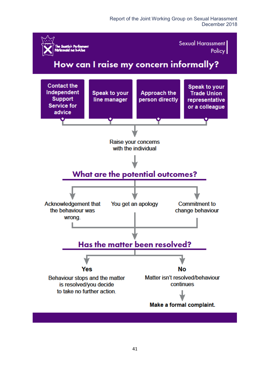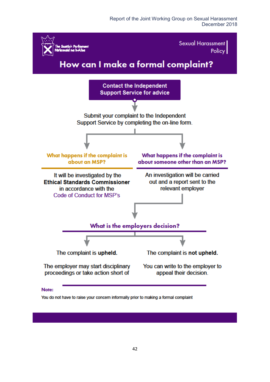

You do not have to raise your concern informally prior to making a formal complaint